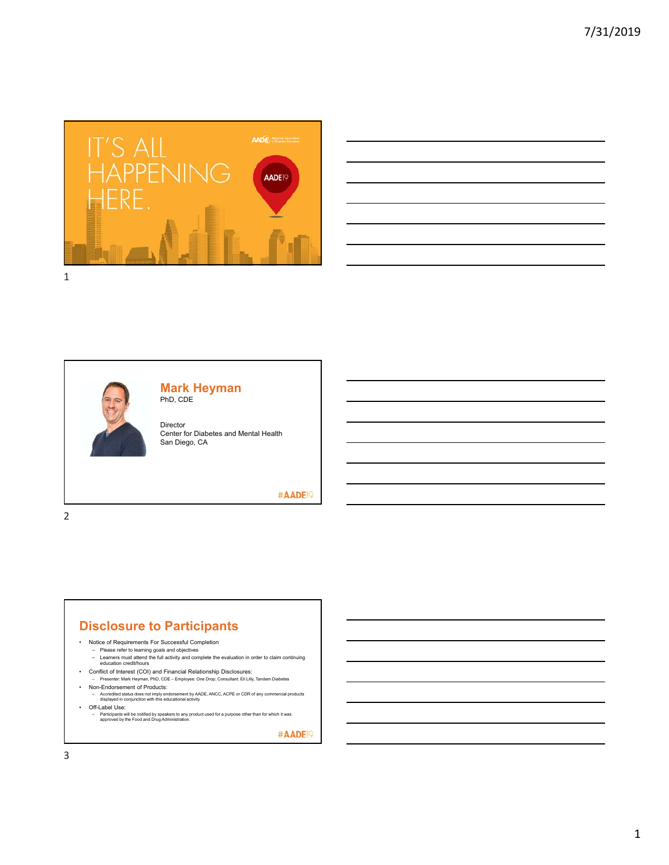



#### **Mark Heyman** PhD, CDE

Director Center for Diabetes and Mental Health San Diego, CA

#### #AADE<sup>19</sup>

2

#### **Disclosure to Participants**

- Notice of Requirements For Successful Completion
	-
	- Please refer to learning goals and objectives Learners must attend the full activity and complete the evaluation in order to claim continuing education credit/hours
- Conflict of Interest (COI) and Financial Relationship Disclosures:
- Presenter: Mark Heyman, PhD, CDE Employee: One Drop; Consultant: Eli Lilly, Tandem Diabetes • Non-Endorsement of Products:
	- Accredited status does not imply endorsement by AADE, ANCC, ACPE or CDR of any commercial products displayed in conjunction with this educational activity
- Off-Label Use:
	- Participants will be notified by speakers to any product used for a purpose other than for which it was approved by the Food and Drug Administration.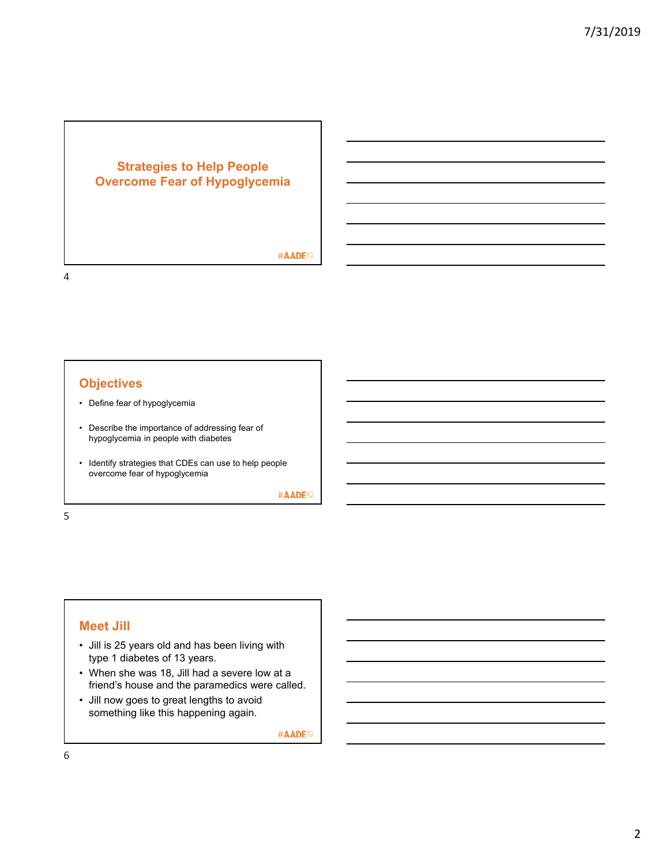## **Strategies to Help People Overcome Fear of Hypoglycemia**

#AADE<sup>19</sup>

## **Objectives**

- Define fear of hypoglycemia
- Describe the importance of addressing fear of hypoglycemia in people with diabetes
- Identify strategies that CDEs can use to help people overcome fear of hypoglycemia

#AADE<sup>19</sup>

5

4

## **Meet Jill**

- Jill is 25 years old and has been living with type 1 diabetes of 13 years.
- When she was 18, Jill had a severe low at a friend's house and the paramedics were called.
- Jill now goes to great lengths to avoid something like this happening again.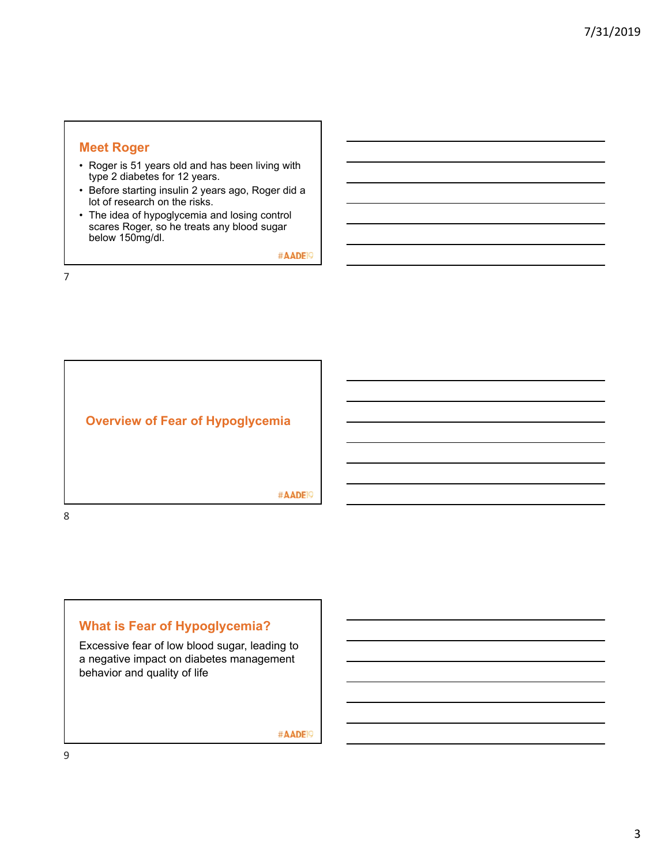#### **Meet Roger**

- Roger is 51 years old and has been living with type 2 diabetes for 12 years.
- Before starting insulin 2 years ago, Roger did a lot of research on the risks.
- The idea of hypoglycemia and losing control scares Roger, so he treats any blood sugar below 150mg/dl.

#AADE<sup>19</sup>

7



# **What is Fear of Hypoglycemia?**

Excessive fear of low blood sugar, leading to a negative impact on diabetes management behavior and quality of life

#AADE<sup>19</sup>

9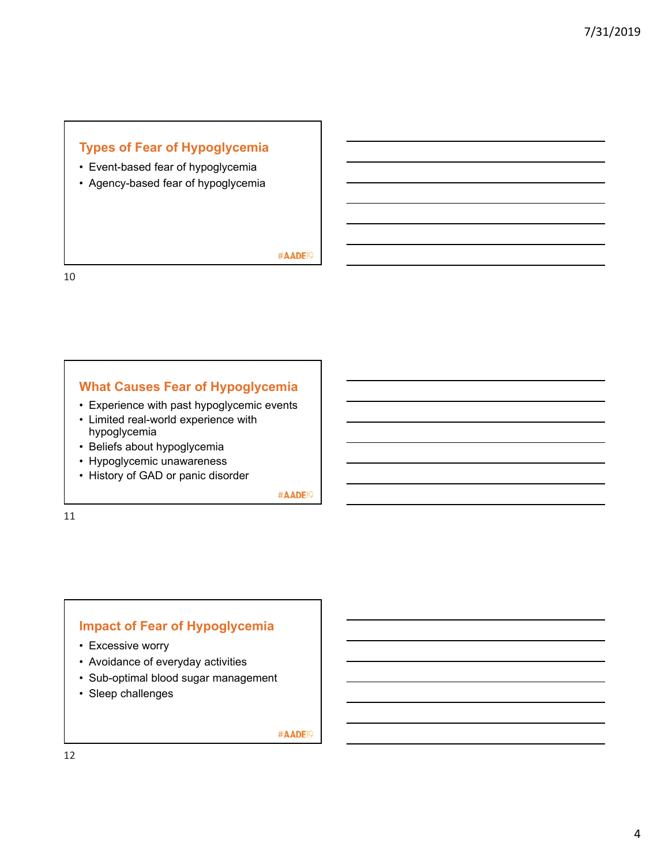# **Types of Fear of Hypoglycemia**

- Event-based fear of hypoglycemia
- Agency-based fear of hypoglycemia

#AADE<sup>19</sup>

10

#### **What Causes Fear of Hypoglycemia**

- Experience with past hypoglycemic events
- Limited real-world experience with hypoglycemia
- Beliefs about hypoglycemia
- Hypoglycemic unawareness
- History of GAD or panic disorder

#AADE<sup>19</sup>

11

### **Impact of Fear of Hypoglycemia**

- Excessive worry
- Avoidance of everyday activities
- Sub-optimal blood sugar management
- Sleep challenges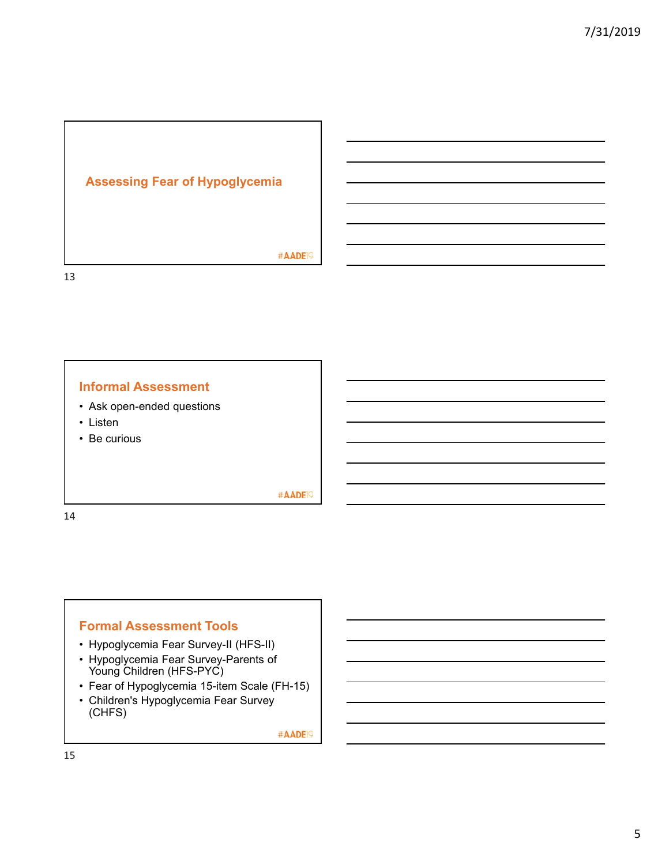

#AADE<sup>19</sup>

**Informal Assessment**

- Ask open-ended questions
- Listen
- Be curious

#AADE<sup>19</sup>

14

13

#### **Formal Assessment Tools**

- Hypoglycemia Fear Survey-II (HFS-II)
- Hypoglycemia Fear Survey-Parents of Young Children (HFS-PYC)
- Fear of Hypoglycemia 15-item Scale (FH-15)
- Children's Hypoglycemia Fear Survey (CHFS)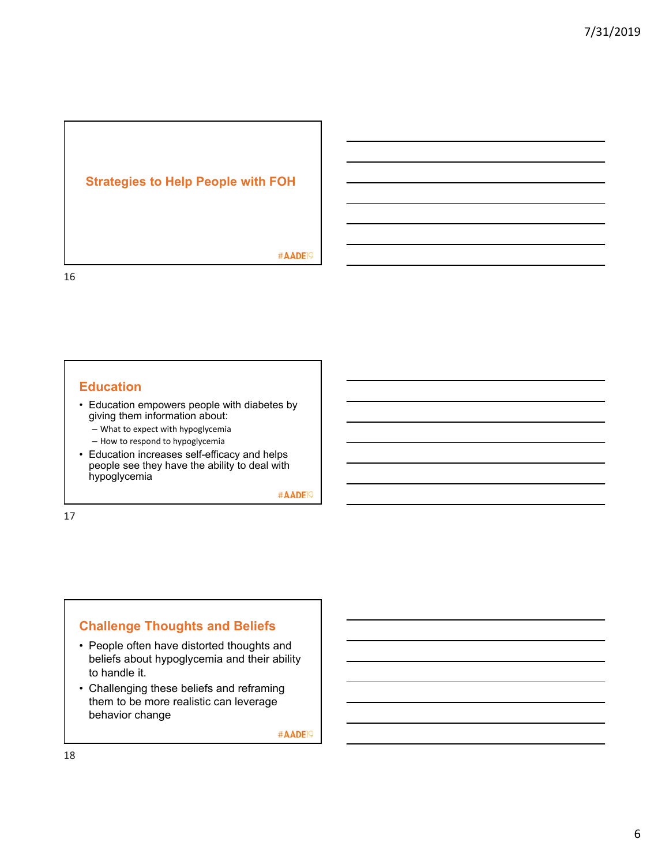#### **Strategies to Help People with FOH**

#AADE<sup>19</sup>

#### **Education**

- Education empowers people with diabetes by giving them information about:
	- What to expect with hypoglycemia
	- How to respond to hypoglycemia
- Education increases self-efficacy and helps people see they have the ability to deal with hypoglycemia

#AADE<sup>19</sup>

17

16

### **Challenge Thoughts and Beliefs**

- People often have distorted thoughts and beliefs about hypoglycemia and their ability to handle it.
- Challenging these beliefs and reframing them to be more realistic can leverage behavior change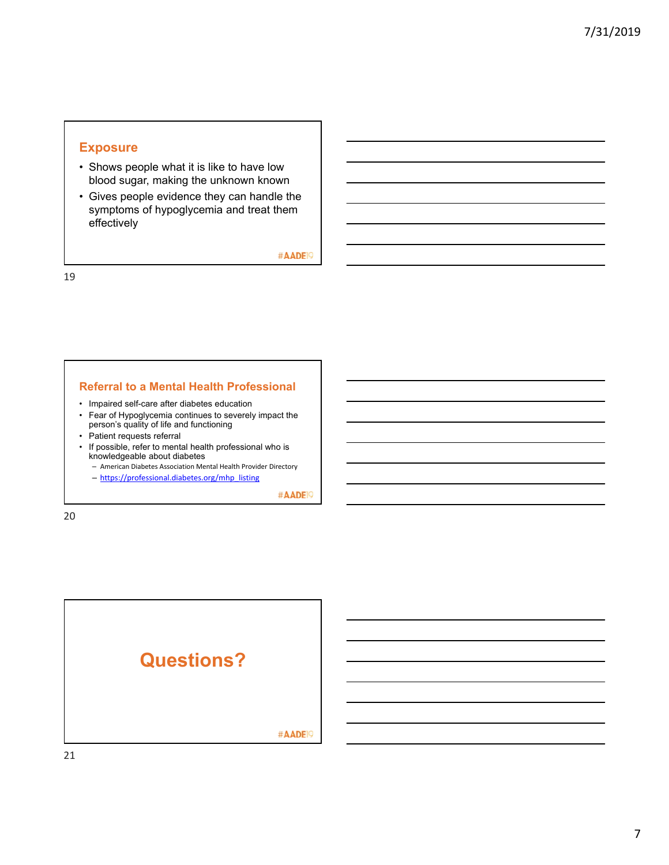### **Exposure**

- Shows people what it is like to have low blood sugar, making the unknown known
- Gives people evidence they can handle the symptoms of hypoglycemia and treat them effectively

#AADE<sup>19</sup>

19

#### **Referral to a Mental Health Professional**

- Impaired self-care after diabetes education
- Fear of Hypoglycemia continues to severely impact the person's quality of life and functioning
- Patient requests referral
- If possible, refer to mental health professional who is knowledgeable about diabetes
	- American Diabetes Association Mental Health Provider Directory – https://professional.diabetes.org/mhp\_listing
		-

#AADE<sup>19</sup>

20